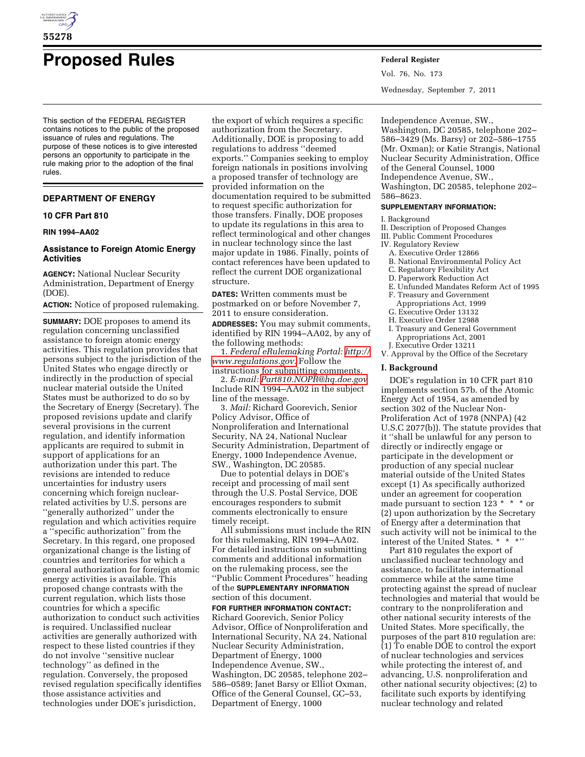

# **Proposed Rules Federal Register**

This section of the FEDERAL REGISTER contains notices to the public of the proposed issuance of rules and regulations. The purpose of these notices is to give interested persons an opportunity to participate in the rule making prior to the adoption of the final rules.

# **DEPARTMENT OF ENERGY**

## **10 CFR Part 810**

#### **RIN 1994–AA02**

# **Assistance to Foreign Atomic Energy Activities**

**AGENCY:** National Nuclear Security Administration, Department of Energy (DOE).

**ACTION:** Notice of proposed rulemaking.

**SUMMARY:** DOE proposes to amend its regulation concerning unclassified assistance to foreign atomic energy activities. This regulation provides that persons subject to the jurisdiction of the United States who engage directly or indirectly in the production of special nuclear material outside the United States must be authorized to do so by the Secretary of Energy (Secretary). The proposed revisions update and clarify several provisions in the current regulation, and identify information applicants are required to submit in support of applications for an authorization under this part. The revisions are intended to reduce uncertainties for industry users concerning which foreign nuclearrelated activities by U.S. persons are ''generally authorized'' under the regulation and which activities require a ''specific authorization'' from the Secretary. In this regard, one proposed organizational change is the listing of countries and territories for which a general authorization for foreign atomic energy activities is available. This proposed change contrasts with the current regulation, which lists those countries for which a specific authorization to conduct such activities is required. Unclassified nuclear activities are generally authorized with respect to these listed countries if they do not involve ''sensitive nuclear technology'' as defined in the regulation. Conversely, the proposed revised regulation specifically identifies those assistance activities and technologies under DOE's jurisdiction,

the export of which requires a specific authorization from the Secretary. Additionally, DOE is proposing to add regulations to address ''deemed exports.'' Companies seeking to employ foreign nationals in positions involving a proposed transfer of technology are provided information on the documentation required to be submitted to request specific authorization for those transfers. Finally, DOE proposes to update its regulations in this area to reflect terminological and other changes in nuclear technology since the last major update in 1986. Finally, points of contact references have been updated to reflect the current DOE organizational structure.

**DATES:** Written comments must be postmarked on or before November 7, 2011 to ensure consideration. **ADDRESSES:** You may submit comments, identified by RIN 1994–AA02, by any of the following methods:

1. *Federal eRulemaking Portal: [http://](http://www.regulations.gov)  [www.regulations.gov.](http://www.regulations.gov)* Follow the instructions for submitting comments.

2. *E-mail: [Part810.NOPR@hq.doe.gov](mailto:Part810.NOPR@hq.doe.gov)*  Include RIN 1994–AA02 in the subject line of the message.

3. *Mail:* Richard Goorevich, Senior Policy Advisor, Office of Nonproliferation and International Security, NA 24, National Nuclear Security Administration, Department of Energy, 1000 Independence Avenue, SW., Washington, DC 20585.

Due to potential delays in DOE's receipt and processing of mail sent through the U.S. Postal Service, DOE encourages responders to submit comments electronically to ensure timely receipt.

All submissions must include the RIN for this rulemaking, RIN 1994–AA02. For detailed instructions on submitting comments and additional information on the rulemaking process, see the ''Public Comment Procedures'' heading of the **SUPPLEMENTARY INFORMATION** section of this document. **FOR FURTHER INFORMATION CONTACT:** 

Richard Goorevich, Senior Policy Advisor, Office of Nonproliferation and International Security, NA 24, National Nuclear Security Administration, Department of Energy, 1000 Independence Avenue, SW., Washington, DC 20585, telephone 202– 586–0589; Janet Barsy or Elliot Oxman, Office of the General Counsel, GC–53, Department of Energy, 1000

Vol. 76, No. 173 Wednesday, September 7, 2011

Independence Avenue, SW., Washington, DC 20585, telephone 202– 586–3429 (Ms. Barsy) or 202–586–1755 (Mr. Oxman); or Katie Strangis, National Nuclear Security Administration, Office of the General Counsel, 1000 Independence Avenue, SW., Washington, DC 20585, telephone 202– 586–8623.

#### **SUPPLEMENTARY INFORMATION:**

- I. Background
- II. Description of Proposed Changes
- III. Public Comment Procedures
- IV. Regulatory Review
	- A. Executive Order 12866
	- B. National Environmental Policy Act
	- C. Regulatory Flexibility Act
	- D. Paperwork Reduction Act
	- E. Unfunded Mandates Reform Act of 1995
	- F. Treasury and Government
	- Appropriations Act, 1999
	- G. Executive Order 13132
	- H. Executive Order 12988
	- I. Treasury and General Government Appropriations Act, 2001
- J. Executive Order 13211
- V. Approval by the Office of the Secretary

# **I. Background**

DOE's regulation in 10 CFR part 810 implements section 57b. of the Atomic Energy Act of 1954, as amended by section 302 of the Nuclear Non-Proliferation Act of 1978 (NNPA) (42 U.S.C 2077(b)). The statute provides that it ''shall be unlawful for any person to directly or indirectly engage or participate in the development or production of any special nuclear material outside of the United States except (1) As specifically authorized under an agreement for cooperation made pursuant to section 123  $*$   $*$   $*$  or (2) upon authorization by the Secretary of Energy after a determination that such activity will not be inimical to the interest of the United States. \* \* \*''

Part 810 regulates the export of unclassified nuclear technology and assistance, to facilitate international commerce while at the same time protecting against the spread of nuclear technologies and material that would be contrary to the nonproliferation and other national security interests of the United States. More specifically, the purposes of the part 810 regulation are: (1) To enable DOE to control the export of nuclear technologies and services while protecting the interest of, and advancing, U.S. nonproliferation and other national security objectives; (2) to facilitate such exports by identifying nuclear technology and related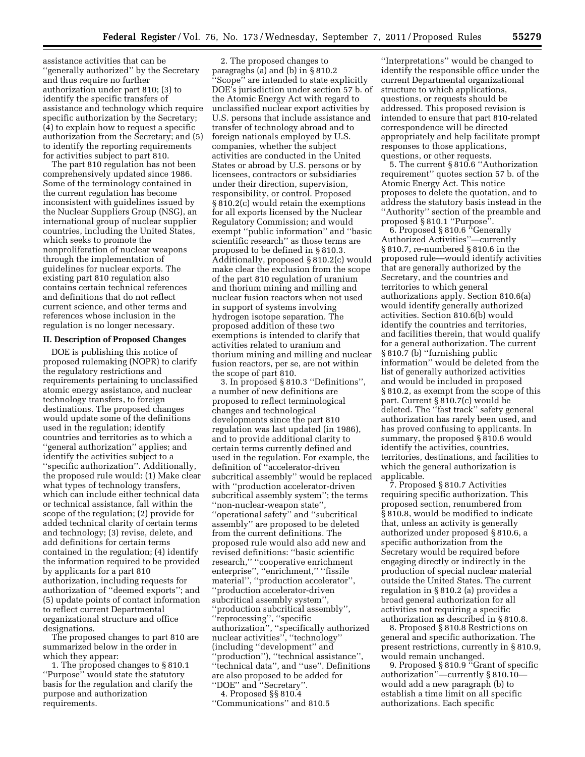assistance activities that can be ''generally authorized'' by the Secretary and thus require no further authorization under part 810; (3) to identify the specific transfers of assistance and technology which require specific authorization by the Secretary; (4) to explain how to request a specific authorization from the Secretary; and (5) to identify the reporting requirements for activities subject to part 810.

The part 810 regulation has not been comprehensively updated since 1986. Some of the terminology contained in the current regulation has become inconsistent with guidelines issued by the Nuclear Suppliers Group (NSG), an international group of nuclear supplier countries, including the United States, which seeks to promote the nonproliferation of nuclear weapons through the implementation of guidelines for nuclear exports. The existing part 810 regulation also contains certain technical references and definitions that do not reflect current science, and other terms and references whose inclusion in the regulation is no longer necessary.

## **II. Description of Proposed Changes**

DOE is publishing this notice of proposed rulemaking (NOPR) to clarify the regulatory restrictions and requirements pertaining to unclassified atomic energy assistance, and nuclear technology transfers, to foreign destinations. The proposed changes would update some of the definitions used in the regulation; identify countries and territories as to which a ''general authorization'' applies; and identify the activities subject to a ''specific authorization''. Additionally, the proposed rule would: (1) Make clear what types of technology transfers, which can include either technical data or technical assistance, fall within the scope of the regulation; (2) provide for added technical clarity of certain terms and technology; (3) revise, delete, and add definitions for certain terms contained in the regulation; (4) identify the information required to be provided by applicants for a part 810 authorization, including requests for authorization of ''deemed exports''; and (5) update points of contact information to reflect current Departmental organizational structure and office designations.

The proposed changes to part 810 are summarized below in the order in which they appear:

1. The proposed changes to § 810.1 ''Purpose'' would state the statutory basis for the regulation and clarify the purpose and authorization requirements.

2. The proposed changes to paragraghs (a) and (b) in § 810.2 ''Scope'' are intended to state explicitly DOE's jurisdiction under section 57 b. of the Atomic Energy Act with regard to unclassified nuclear export activities by U.S. persons that include assistance and transfer of technology abroad and to foreign nationals employed by U.S. companies, whether the subject activities are conducted in the United States or abroad by U.S. persons or by licensees, contractors or subsidiaries under their direction, supervision, responsibility, or control. Proposed § 810.2(c) would retain the exemptions for all exports licensed by the Nuclear Regulatory Commission; and would exempt ''public information'' and ''basic scientific research'' as those terms are proposed to be defined in § 810.3. Additionally, proposed § 810.2(c) would make clear the exclusion from the scope of the part 810 regulation of uranium and thorium mining and milling and nuclear fusion reactors when not used in support of systems involving hydrogen isotope separation. The proposed addition of these two exemptions is intended to clarify that activities related to uranium and thorium mining and milling and nuclear fusion reactors, per se, are not within the scope of part 810.

3. In proposed § 810.3 ''Definitions'', a number of new definitions are proposed to reflect terminological changes and technological developments since the part 810 regulation was last updated (in 1986), and to provide additional clarity to certain terms currently defined and used in the regulation. For example, the definition of ''accelerator-driven subcritical assembly'' would be replaced with ''production accelerator-driven subcritical assembly system''; the terms ''non-nuclear-weapon state'', ''operational safety'' and ''subcritical assembly'' are proposed to be deleted from the current definitions. The proposed rule would also add new and revised definitions: ''basic scientific research,'' ''cooperative enrichment enterprise", "enrichment," "fissile material'', ''production accelerator'', ''production accelerator-driven subcritical assembly system'', ''production subcritical assembly'', ''reprocessing'', ''specific authorization'', ''specifically authorized nuclear activities'', ''technology'' (including ''development'' and 'production''), "technical assistance", ''technical data'', and ''use''. Definitions are also proposed to be added for ''DOE'' and ''Secretary''. 4. Proposed §§ 810.4

''Communications'' and 810.5

''Interpretations'' would be changed to identify the responsible office under the current Departmental organizational structure to which applications, questions, or requests should be addressed. This proposed revision is intended to ensure that part 810-related correspondence will be directed appropriately and help facilitate prompt responses to those applications, questions, or other requests.

5. The current § 810.6 ''Authorization requirement'' quotes section 57 b. of the Atomic Energy Act. This notice proposes to delete the quotation, and to address the statutory basis instead in the ''Authority'' section of the preamble and proposed § 810.1 ''Purpose''.

6. Proposed § 810.6 ''Generally Authorized Activities''—currently § 810.7, re-numbered § 810.6 in the proposed rule—would identify activities that are generally authorized by the Secretary, and the countries and territories to which general authorizations apply. Section 810.6(a) would identify generally authorized activities. Section 810.6(b) would identify the countries and territories, and facilities therein, that would qualify for a general authorization. The current § 810.7 (b) ''furnishing public information'' would be deleted from the list of generally authorized activities and would be included in proposed § 810.2, as exempt from the scope of this part. Current § 810.7(c) would be deleted. The ''fast track'' safety general authorization has rarely been used, and has proved confusing to applicants. In summary, the proposed § 810.6 would identify the activities, countries, territories, destinations, and facilities to which the general authorization is applicable.

7. Proposed § 810.7 Activities requiring specific authorization. This proposed section, renumbered from § 810.8, would be modified to indicate that, unless an activity is generally authorized under proposed § 810.6, a specific authorization from the Secretary would be required before engaging directly or indirectly in the production of special nuclear material outside the United States. The current regulation in § 810.2 (a) provides a broad general authorization for all activities not requiring a specific authorization as described in § 810.8.

8. Proposed § 810.8 Restrictions on general and specific authorization. The present restrictions, currently in § 810.9, would remain unchanged.

9. Proposed § 810.9 "Grant of specific authorization''—currently § 810.10 would add a new paragraph (b) to establish a time limit on all specific authorizations. Each specific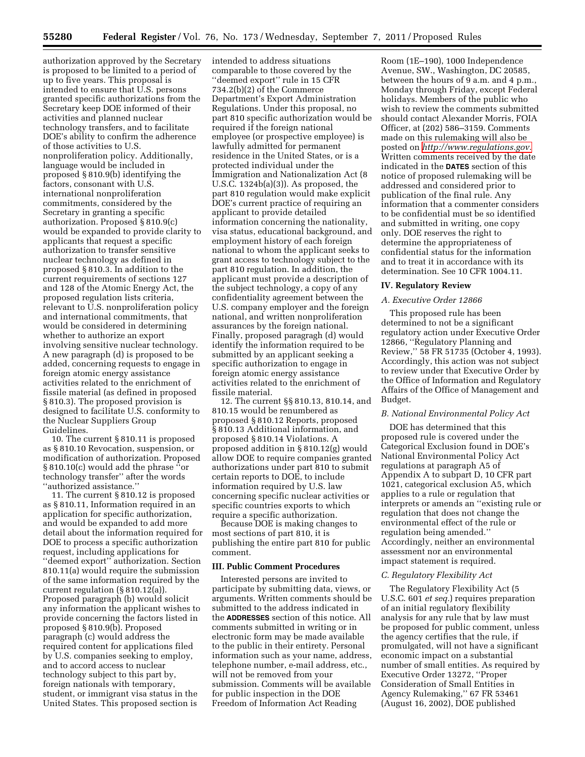authorization approved by the Secretary is proposed to be limited to a period of up to five years. This proposal is intended to ensure that U.S. persons granted specific authorizations from the Secretary keep DOE informed of their activities and planned nuclear technology transfers, and to facilitate DOE's ability to confirm the adherence of those activities to U.S. nonproliferation policy. Additionally, language would be included in proposed § 810.9(b) identifying the factors, consonant with U.S. international nonproliferation commitments, considered by the Secretary in granting a specific authorization. Proposed § 810.9(c) would be expanded to provide clarity to applicants that request a specific authorization to transfer sensitive nuclear technology as defined in proposed § 810.3. In addition to the current requirements of sections 127 and 128 of the Atomic Energy Act, the proposed regulation lists criteria, relevant to U.S. nonproliferation policy and international commitments, that would be considered in determining whether to authorize an export involving sensitive nuclear technology. A new paragraph (d) is proposed to be added, concerning requests to engage in foreign atomic energy assistance activities related to the enrichment of fissile material (as defined in proposed § 810.3). The proposed provision is designed to facilitate U.S. conformity to the Nuclear Suppliers Group Guidelines.

10. The current § 810.11 is proposed as § 810.10 Revocation, suspension, or modification of authorization. Proposed § 810.10(c) would add the phrase ''or technology transfer'' after the words ''authorized assistance.''

11. The current § 810.12 is proposed as § 810.11, Information required in an application for specific authorization, and would be expanded to add more detail about the information required for DOE to process a specific authorization request, including applications for ''deemed export'' authorization. Section 810.11(a) would require the submission of the same information required by the current regulation (§ 810.12(a)). Proposed paragraph (b) would solicit any information the applicant wishes to provide concerning the factors listed in proposed § 810.9(b). Proposed paragraph (c) would address the required content for applications filed by U.S. companies seeking to employ, and to accord access to nuclear technology subject to this part by, foreign nationals with temporary, student, or immigrant visa status in the United States. This proposed section is

intended to address situations comparable to those covered by the ''deemed export'' rule in 15 CFR 734.2(b)(2) of the Commerce Department's Export Administration Regulations. Under this proposal, no part 810 specific authorization would be required if the foreign national employee (or prospective employee) is lawfully admitted for permanent residence in the United States, or is a protected individual under the Immigration and Nationalization Act (8 U.S.C. 1324b(a)(3)). As proposed, the part 810 regulation would make explicit DOE's current practice of requiring an applicant to provide detailed information concerning the nationality, visa status, educational background, and employment history of each foreign national to whom the applicant seeks to grant access to technology subject to the part 810 regulation. In addition, the applicant must provide a description of the subject technology, a copy of any confidentiality agreement between the U.S. company employer and the foreign national, and written nonproliferation assurances by the foreign national. Finally, proposed paragragh (d) would identify the information required to be submitted by an applicant seeking a specific authorization to engage in foreign atomic energy assistance activities related to the enrichment of fissile material.

12. The current §§ 810.13, 810.14, and 810.15 would be renumbered as proposed § 810.12 Reports, proposed § 810.13 Additional information, and proposed § 810.14 Violations. A proposed addition in § 810.12(g) would allow DOE to require companies granted authorizations under part 810 to submit certain reports to DOE, to include information required by U.S. law concerning specific nuclear activities or specific countries exports to which require a specific authorization.

Because DOE is making changes to most sections of part 810, it is publishing the entire part 810 for public comment.

## **III. Public Comment Procedures**

Interested persons are invited to participate by submitting data, views, or arguments. Written comments should be submitted to the address indicated in the **ADDRESSES** section of this notice. All comments submitted in writing or in electronic form may be made available to the public in their entirety. Personal information such as your name, address, telephone number, e-mail address, etc., will not be removed from your submission. Comments will be available for public inspection in the DOE Freedom of Information Act Reading

Room (1E–190), 1000 Independence Avenue, SW., Washington, DC 20585, between the hours of 9 a.m. and 4 p.m., Monday through Friday, except Federal holidays. Members of the public who wish to review the comments submitted should contact Alexander Morris, FOIA Officer, at (202) 586–3159. Comments made on this rulemaking will also be posted on *[http://www.regulations.gov.](http://www.regulations.gov)*  Written comments received by the date indicated in the **DATES** section of this notice of proposed rulemaking will be addressed and considered prior to publication of the final rule. Any information that a commenter considers to be confidential must be so identified and submitted in writing, one copy only. DOE reserves the right to determine the appropriateness of confidential status for the information and to treat it in accordance with its determination. See 10 CFR 1004.11.

#### **IV. Regulatory Review**

## *A. Executive Order 12866*

This proposed rule has been determined to not be a significant regulatory action under Executive Order 12866, ''Regulatory Planning and Review,'' 58 FR 51735 (October 4, 1993). Accordingly, this action was not subject to review under that Executive Order by the Office of Information and Regulatory Affairs of the Office of Management and Budget.

#### *B. National Environmental Policy Act*

DOE has determined that this proposed rule is covered under the Categorical Exclusion found in DOE's National Environmental Policy Act regulations at paragraph A5 of Appendix A to subpart D, 10 CFR part 1021, categorical exclusion A5, which applies to a rule or regulation that interprets or amends an ''existing rule or regulation that does not change the environmental effect of the rule or regulation being amended.'' Accordingly, neither an environmental assessment nor an environmental impact statement is required.

#### *C. Regulatory Flexibility Act*

The Regulatory Flexibility Act (5 U.S.C. 601 *et seq.*) requires preparation of an initial regulatory flexibility analysis for any rule that by law must be proposed for public comment, unless the agency certifies that the rule, if promulgated, will not have a significant economic impact on a substantial number of small entities. As required by Executive Order 13272, ''Proper Consideration of Small Entities in Agency Rulemaking,'' 67 FR 53461 (August 16, 2002), DOE published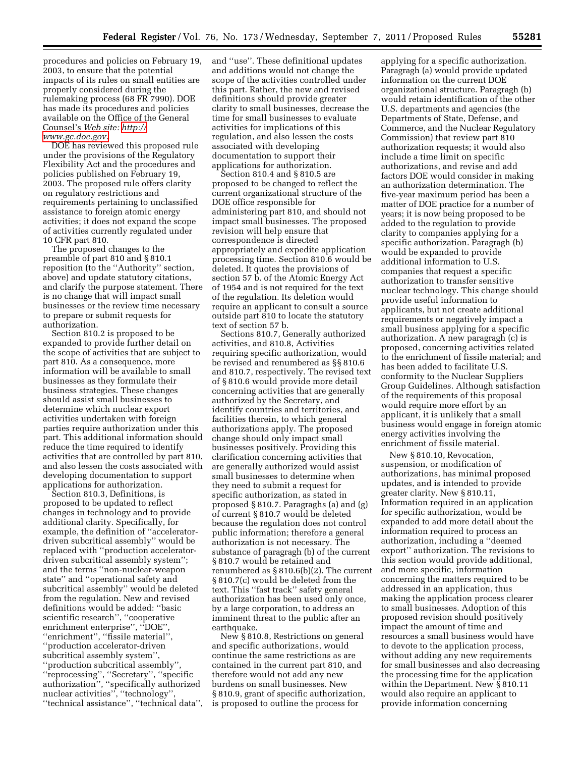procedures and policies on February 19, 2003, to ensure that the potential impacts of its rules on small entities are properly considered during the rulemaking process (68 FR 7990). DOE has made its procedures and policies available on the Office of the General Counsel's *Web site: [http://](http://www.gc.doe.gov)  [www.gc.doe.gov.](http://www.gc.doe.gov)* 

DOE has reviewed this proposed rule under the provisions of the Regulatory Flexibility Act and the procedures and policies published on February 19, 2003. The proposed rule offers clarity on regulatory restrictions and requirements pertaining to unclassified assistance to foreign atomic energy activities; it does not expand the scope of activities currently regulated under 10 CFR part 810.

The proposed changes to the preamble of part 810 and § 810.1 reposition (to the ''Authority'' section, above) and update statutory citations, and clarify the purpose statement. There is no change that will impact small businesses or the review time necessary to prepare or submit requests for authorization.

Section 810.2 is proposed to be expanded to provide further detail on the scope of activities that are subject to part 810. As a consequence, more information will be available to small businesses as they formulate their business strategies. These changes should assist small businesses to determine which nuclear export activities undertaken with foreign parties require authorization under this part. This additional information should reduce the time required to identify activities that are controlled by part 810, and also lessen the costs associated with developing documentation to support applications for authorization.

Section 810.3, Definitions, is proposed to be updated to reflect changes in technology and to provide additional clarity. Specifically, for example, the definition of ''acceleratordriven subcritical assembly'' would be replaced with ''production acceleratordriven subcritical assembly system''; and the terms ''non-nuclear-weapon state'' and ''operational safety and subcritical assembly'' would be deleted from the regulation. New and revised definitions would be added: ''basic scientific research'', ''cooperative enrichment enterprise'', ''DOE'', ''enrichment'', ''fissile material'', ''production accelerator-driven subcritical assembly system'', ''production subcritical assembly'', ''reprocessing'', ''Secretary'', ''specific authorization'', ''specifically authorized nuclear activities'', ''technology'', ''technical assistance'', ''technical data'',

and ''use''. These definitional updates and additions would not change the scope of the activities controlled under this part. Rather, the new and revised definitions should provide greater clarity to small businesses, decrease the time for small businesses to evaluate activities for implications of this regulation, and also lessen the costs associated with developing documentation to support their applications for authorization.

Section 810.4 and § 810.5 are proposed to be changed to reflect the current organizational structure of the DOE office responsible for administering part 810, and should not impact small businesses. The proposed revision will help ensure that correspondence is directed appropriately and expedite application processing time. Section 810.6 would be deleted. It quotes the provisions of section 57 b. of the Atomic Energy Act of 1954 and is not required for the text of the regulation. Its deletion would require an applicant to consult a source outside part 810 to locate the statutory text of section 57 b.

Sections 810.7, Generally authorized activities, and 810.8, Activities requiring specific authorization, would be revised and renumbered as §§ 810.6 and 810.7, respectively. The revised text of § 810.6 would provide more detail concerning activities that are generally authorized by the Secretary, and identify countries and territories, and facilities therein, to which general authorizations apply. The proposed change should only impact small businesses positively. Providing this clarification concerning activities that are generally authorized would assist small businesses to determine when they need to submit a request for specific authorization, as stated in proposed § 810.7. Paragraghs (a) and (g) of current § 810.7 would be deleted because the regulation does not control public information; therefore a general authorization is not necessary. The substance of paragragh (b) of the current § 810.7 would be retained and renumbered as § 810.6(b)(2). The current § 810.7(c) would be deleted from the text. This ''fast track'' safety general authorization has been used only once, by a large corporation, to address an imminent threat to the public after an earthquake.

New § 810.8, Restrictions on general and specific authorizations, would continue the same restrictions as are contained in the current part 810, and therefore would not add any new burdens on small businesses. New § 810.9, grant of specific authorization, is proposed to outline the process for

applying for a specific authorization. Paragragh (a) would provide updated information on the current DOE organizational structure. Paragragh (b) would retain identification of the other U.S. departments and agencies (the Departments of State, Defense, and Commerce, and the Nuclear Regulatory Commission) that review part 810 authorization requests; it would also include a time limit on specific authorizations, and revise and add factors DOE would consider in making an authorization determination. The five-year maximum period has been a matter of DOE practice for a number of years; it is now being proposed to be added to the regulation to provide clarity to companies applying for a specific authorization. Paragragh (b) would be expanded to provide additional information to U.S. companies that request a specific authorization to transfer sensitive nuclear technology. This change should provide useful information to applicants, but not create additional requirements or negatively impact a small business applying for a specific authorization. A new paragragh (c) is proposed, concerning activities related to the enrichment of fissile material; and has been added to facilitate U.S. conformity to the Nuclear Suppliers Group Guidelines. Although satisfaction of the requirements of this proposal would require more effort by an applicant, it is unlikely that a small business would engage in foreign atomic energy activities involving the enrichment of fissile material.

New § 810.10, Revocation, suspension, or modification of authorizations, has minimal proposed updates, and is intended to provide greater clarity. New § 810.11, Information required in an application for specific authorization, would be expanded to add more detail about the information required to process an authorization, including a ''deemed export'' authorization. The revisions to this section would provide additional, and more specific, information concerning the matters required to be addressed in an application, thus making the application process clearer to small businesses. Adoption of this proposed revision should positively impact the amount of time and resources a small business would have to devote to the application process, without adding any new requirements for small businesses and also decreasing the processing time for the application within the Department. New § 810.11 would also require an applicant to provide information concerning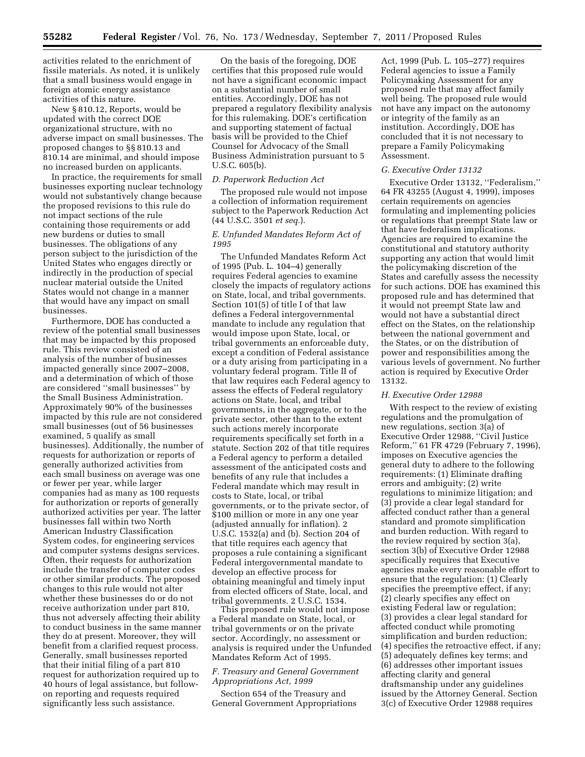activities related to the enrichment of fissile materials. As noted, it is unlikely that a small business would engage in foreign atomic energy assistance activities of this nature.

New § 810.12, Reports, would be updated with the correct DOE organizational structure, with no adverse impact on small businesses. The proposed changes to §§ 810.13 and 810.14 are minimal, and should impose no increased burden on applicants.

In practice, the requirements for small businesses exporting nuclear technology would not substantively change because the proposed revisions to this rule do not impact sections of the rule containing those requirements or add new burdens or duties to small businesses. The obligations of any person subject to the jurisdiction of the United States who engages directly or indirectly in the production of special nuclear material outside the United States would not change in a manner that would have any impact on small businesses.

Furthermore, DOE has conducted a review of the potential small businesses that may be impacted by this proposed rule. This review consisted of an analysis of the number of businesses impacted generally since 2007–2008, and a determination of which of those are considered ''small businesses'' by the Small Business Administration. Approximately 90% of the businesses impacted by this rule are not considered small businesses (out of 56 businesses examined, 5 qualify as small businesses). Additionally, the number of requests for authorization or reports of generally authorized activities from each small business on average was one or fewer per year, while larger companies had as many as 100 requests for authorization or reports of generally authorized activities per year. The latter businesses fall within two North American Industry Classification System codes, for engineering services and computer systems designs services. Often, their requests for authorization include the transfer of computer codes or other similar products. The proposed changes to this rule would not alter whether these businesses do or do not receive authorization under part 810, thus not adversely affecting their ability to conduct business in the same manner they do at present. Moreover, they will benefit from a clarified request process. Generally, small businesses reported that their initial filing of a part 810 request for authorization required up to 40 hours of legal assistance, but followon reporting and requests required significantly less such assistance.

On the basis of the foregoing, DOE certifies that this proposed rule would not have a significant economic impact on a substantial number of small entities. Accordingly, DOE has not prepared a regulatory flexibility analysis for this rulemaking. DOE's certification and supporting statement of factual basis will be provided to the Chief Counsel for Advocacy of the Small Business Administration pursuant to 5 U.S.C. 605(b).

# *D. Paperwork Reduction Act*

The proposed rule would not impose a collection of information requirement subject to the Paperwork Reduction Act (44 U.S.C. 3501 *et seq.*).

# *E. Unfunded Mandates Reform Act of 1995*

The Unfunded Mandates Reform Act of 1995 (Pub. L. 104–4) generally requires Federal agencies to examine closely the impacts of regulatory actions on State, local, and tribal governments. Section 101(5) of title I of that law defines a Federal intergovernmental mandate to include any regulation that would impose upon State, local, or tribal governments an enforceable duty, except a condition of Federal assistance or a duty arising from participating in a voluntary federal program. Title II of that law requires each Federal agency to assess the effects of Federal regulatory actions on State, local, and tribal governments, in the aggregate, or to the private sector, other than to the extent such actions merely incorporate requirements specifically set forth in a statute. Section 202 of that title requires a Federal agency to perform a detailed assessment of the anticipated costs and benefits of any rule that includes a Federal mandate which may result in costs to State, local, or tribal governments, or to the private sector, of \$100 million or more in any one year (adjusted annually for inflation). 2 U.S.C. 1532(a) and (b). Section 204 of that title requires each agency that proposes a rule containing a significant Federal intergovernmental mandate to develop an effective process for obtaining meaningful and timely input from elected officers of State, local, and tribal governments. 2 U.S.C. 1534.

This proposed rule would not impose a Federal mandate on State, local, or tribal governments or on the private sector. Accordingly, no assessment or analysis is required under the Unfunded Mandates Reform Act of 1995.

# *F. Treasury and General Government Appropriations Act, 1999*

Section 654 of the Treasury and General Government Appropriations

Act, 1999 (Pub. L. 105–277) requires Federal agencies to issue a Family Policymaking Assessment for any proposed rule that may affect family well being. The proposed rule would not have any impact on the autonomy or integrity of the family as an institution. Accordingly, DOE has concluded that it is not necessary to prepare a Family Policymaking Assessment.

# *G. Executive Order 13132*

Executive Order 13132, ''Federalism,'' 64 FR 43255 (August 4, 1999), imposes certain requirements on agencies formulating and implementing policies or regulations that preempt State law or that have federalism implications. Agencies are required to examine the constitutional and statutory authority supporting any action that would limit the policymaking discretion of the States and carefully assess the necessity for such actions. DOE has examined this proposed rule and has determined that it would not preempt State law and would not have a substantial direct effect on the States, on the relationship between the national government and the States, or on the distribution of power and responsibilities among the various levels of government. No further action is required by Executive Order 13132.

#### *H. Executive Order 12988*

With respect to the review of existing regulations and the promulgation of new regulations, section 3(a) of Executive Order 12988, ''Civil Justice Reform,'' 61 FR 4729 (February 7, 1996), imposes on Executive agencies the general duty to adhere to the following requirements: (1) Eliminate drafting errors and ambiguity; (2) write regulations to minimize litigation; and (3) provide a clear legal standard for affected conduct rather than a general standard and promote simplification and burden reduction. With regard to the review required by section 3(a), section 3(b) of Executive Order 12988 specifically requires that Executive agencies make every reasonable effort to ensure that the regulation: (1) Clearly specifies the preemptive effect, if any; (2) clearly specifies any effect on existing Federal law or regulation; (3) provides a clear legal standard for affected conduct while promoting simplification and burden reduction; (4) specifies the retroactive effect, if any; (5) adequately defines key terms; and (6) addresses other important issues affecting clarity and general draftsmanship under any guidelines issued by the Attorney General. Section 3(c) of Executive Order 12988 requires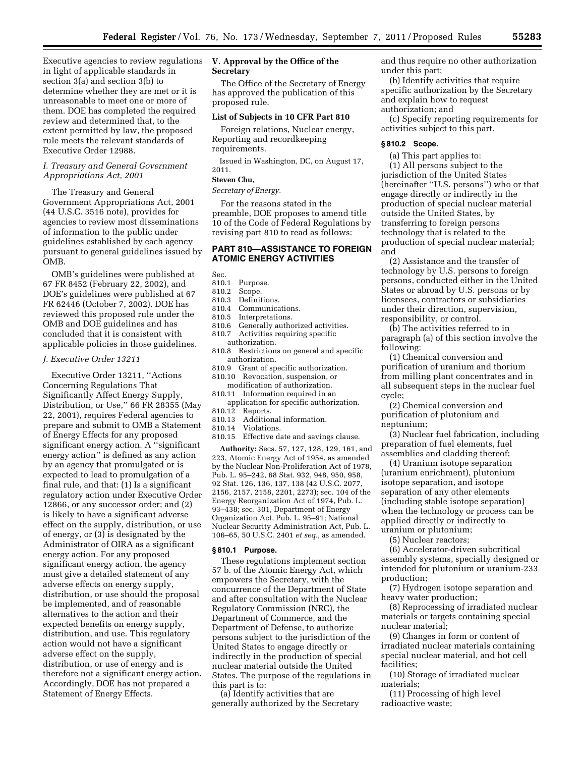Executive agencies to review regulations in light of applicable standards in section 3(a) and section 3(b) to determine whether they are met or it is unreasonable to meet one or more of them. DOE has completed the required review and determined that, to the extent permitted by law, the proposed rule meets the relevant standards of Executive Order 12988.

## *I. Treasury and General Government Appropriations Act, 2001*

The Treasury and General Government Appropriations Act, 2001 (44 U.S.C. 3516 note), provides for agencies to review most disseminations of information to the public under guidelines established by each agency pursuant to general guidelines issued by OMB.

OMB's guidelines were published at 67 FR 8452 (February 22, 2002), and DOE's guidelines were published at 67 FR 62446 (October 7, 2002). DOE has reviewed this proposed rule under the OMB and DOE guidelines and has concluded that it is consistent with applicable policies in those guidelines.

#### *J. Executive Order 13211*

Executive Order 13211, ''Actions Concerning Regulations That Significantly Affect Energy Supply, Distribution, or Use,'' 66 FR 28355 (May 22, 2001), requires Federal agencies to prepare and submit to OMB a Statement of Energy Effects for any proposed significant energy action. A ''significant energy action'' is defined as any action by an agency that promulgated or is expected to lead to promulgation of a final rule, and that: (1) Is a significant regulatory action under Executive Order 12866, or any successor order; and (2) is likely to have a significant adverse effect on the supply, distribution, or use of energy, or (3) is designated by the Administrator of OIRA as a significant energy action. For any proposed significant energy action, the agency must give a detailed statement of any adverse effects on energy supply, distribution, or use should the proposal be implemented, and of reasonable alternatives to the action and their expected benefits on energy supply, distribution, and use. This regulatory action would not have a significant adverse effect on the supply, distribution, or use of energy and is therefore not a significant energy action. Accordingly, DOE has not prepared a Statement of Energy Effects.

# **V. Approval by the Office of the Secretary**

The Office of the Secretary of Energy has approved the publication of this proposed rule.

## **List of Subjects in 10 CFR Part 810**

Foreign relations, Nuclear energy, Reporting and recordkeeping requirements.

Issued in Washington, DC, on August 17, 2011.

# **Steven Chu,**

*Secretary of Energy.* 

For the reasons stated in the preamble, DOE proposes to amend title 10 of the Code of Federal Regulations by revising part 810 to read as follows:

## **PART 810—ASSISTANCE TO FOREIGN ATOMIC ENERGY ACTIVITIES**

Sec.<br>810.1

- Purpose.
- 810.2 Scope.
- 810.3 Definitions.
- 810.4 Communications.
- 810.5 Interpretations.
- 810.6 Generally authorized activities.
- 810.7 Activities requiring specific authorization.
- 810.8 Restrictions on general and specific authorization.
- 810.9 Grant of specific authorization.
- 810.10 Revocation, suspension, or modification of authorization.
- 810.11 Information required in an application for specific authorization.
- 810.12 Reports.
- 810.13 Additional information.
- Violations.
- 810.15 Effective date and savings clause.

**Authority:** Secs. 57, 127, 128, 129, 161, and 223, Atomic Energy Act of 1954, as amended by the Nuclear Non-Proliferation Act of 1978, Pub. L. 95–242, 68 Stat. 932, 948, 950, 958, 92 Stat. 126, 136, 137, 138 (42 U.S.C. 2077, 2156, 2157, 2158, 2201, 2273); sec. 104 of the Energy Reorganization Act of 1974, Pub. L. 93–438; sec. 301, Department of Energy Organization Act, Pub. L. 95–91; National Nuclear Security Administration Act, Pub. L. 106–65, 50 U.S.C. 2401 *et seq.,* as amended.

## **§ 810.1 Purpose.**

These regulations implement section 57 b. of the Atomic Energy Act, which empowers the Secretary, with the concurrence of the Department of State and after consultation with the Nuclear Regulatory Commission (NRC), the Department of Commerce, and the Department of Defense, to authorize persons subject to the jurisdiction of the United States to engage directly or indirectly in the production of special nuclear material outside the United States. The purpose of the regulations in this part is to:

(a) Identify activities that are generally authorized by the Secretary and thus require no other authorization under this part;

(b) Identify activities that require specific authorization by the Secretary and explain how to request authorization; and

(c) Specify reporting requirements for activities subject to this part.

## **§ 810.2 Scope.**

(a) This part applies to:

(1) All persons subject to the jurisdiction of the United States (hereinafter ''U.S. persons'') who or that engage directly or indirectly in the production of special nuclear material outside the United States, by transferring to foreign persons technology that is related to the production of special nuclear material; and

(2) Assistance and the transfer of technology by U.S. persons to foreign persons, conducted either in the United States or abroad by U.S. persons or by licensees, contractors or subsidiaries under their direction, supervision, responsibility, or control.

(b) The activities referred to in paragraph (a) of this section involve the following:

(1) Chemical conversion and purification of uranium and thorium from milling plant concentrates and in all subsequent steps in the nuclear fuel cycle;

(2) Chemical conversion and purification of plutonium and neptunium;

(3) Nuclear fuel fabrication, including preparation of fuel elements, fuel assemblies and cladding thereof;

(4) Uranium isotope separation (uranium enrichment), plutonium isotope separation, and isotope separation of any other elements (including stable isotope separation) when the technology or process can be applied directly or indirectly to uranium or plutonium;

(5) Nuclear reactors;

(6) Accelerator-driven subcritical assembly systems, specially designed or intended for plutonium or uranium-233 production;

(7) Hydrogen isotope separation and heavy water production;

(8) Reprocessing of irradiated nuclear materials or targets containing special nuclear material;

(9) Changes in form or content of irradiated nuclear materials containing special nuclear material, and hot cell facilities;

(10) Storage of irradiated nuclear materials;

(11) Processing of high level radioactive waste;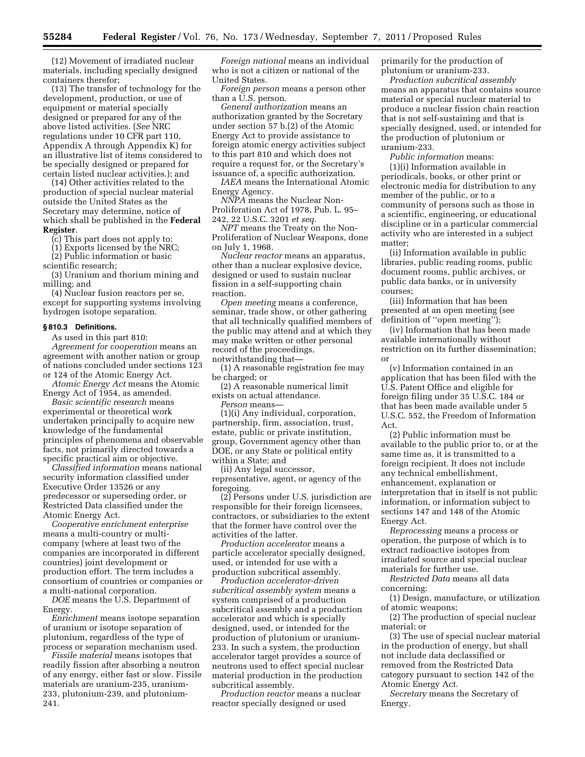(12) Movement of irradiated nuclear materials, including specially designed containers therefor;

(13) The transfer of technology for the development, production, or use of equipment or material specially designed or prepared for any of the above listed activities. (*See* NRC regulations under 10 CFR part 110, Appendix A through Appendix K) for an illustrative list of items considered to be specially designed or prepared for certain listed nuclear activities.); and

(14) Other activities related to the production of special nuclear material outside the United States as the Secretary may determine, notice of which shall be published in the **Federal Register**.

(c) This part does not apply to:

(1) Exports licensed by the NRC; (2) Public information or basic

scientific research;

(3) Uranium and thorium mining and milling; and

(4) Nuclear fusion reactors per se, except for supporting systems involving hydrogen isotope separation.

#### **§ 810.3 Definitions.**

As used in this part 810:

*Agreement for cooperation* means an agreement with another nation or group of nations concluded under sections 123 or 124 of the Atomic Energy Act.

*Atomic Energy Act* means the Atomic Energy Act of 1954, as amended.

*Basic scientific research* means experimental or theoretical work undertaken principally to acquire new knowledge of the fundamental principles of phenomena and observable facts, not primarily directed towards a specific practical aim or objective.

*Classified information* means national security information classified under Executive Order 13526 or any predecessor or superseding order, or Restricted Data classified under the Atomic Energy Act.

*Cooperative enrichment enterprise*  means a multi-country or multicompany (where at least two of the companies are incorporated in different countries) joint development or production effort. The term includes a consortium of countries or companies or a multi-national corporation.

*DOE* means the U.S. Department of Energy.

*Enrichment* means isotope separation of uranium or isotope separation of plutonium, regardless of the type of process or separation mechanism used.

*Fissile material* means isotopes that readily fission after absorbing a neutron of any energy, either fast or slow. Fissile materials are uranium-235, uranium-233, plutonium-239, and plutonium-241.

*Foreign national* means an individual who is not a citizen or national of the United States.

*Foreign person* means a person other than a U.S. person.

*General authorization* means an authorization granted by the Secretary under section 57 b.(2) of the Atomic Energy Act to provide assistance to foreign atomic energy activities subject to this part 810 and which does not require a request for, or the Secretary's issuance of, a specific authorization.

*IAEA* means the International Atomic Energy Agency.

*NNPA* means the Nuclear Non-Proliferation Act of 1978, Pub. L. 95– 242, 22 U.S.C. 3201 *et seq.* 

*NPT* means the Treaty on the Non-Proliferation of Nuclear Weapons, done on July 1, 1968.

*Nuclear reactor* means an apparatus, other than a nuclear explosive device, designed or used to sustain nuclear fission in a self-supporting chain reaction.

*Open meeting* means a conference, seminar, trade show, or other gathering that all technically qualified members of the public may attend and at which they may make written or other personal record of the proceedings, notwithstanding that—

(1) A reasonable registration fee may be charged; or

(2) A reasonable numerical limit exists on actual attendance.

*Person* means—

(1)(i) Any individual, corporation, partnership, firm, association, trust, estate, public or private institution, group, Government agency other than DOE, or any State or political entity within a State; and

(ii) Any legal successor, representative, agent, or agency of the foregoing.

(2) Persons under U.S. jurisdiction are responsible for their foreign licensees, contractors, or subsidiaries to the extent that the former have control over the activities of the latter.

*Production accelerator* means a particle accelerator specially designed, used, or intended for use with a production subcritical assembly.

*Production accelerator-driven subcritical assembly system* means a system comprised of a production subcritical assembly and a production accelerator and which is specially designed, used, or intended for the production of plutonium or uranium-233. In such a system, the production accelerator target provides a source of neutrons used to effect special nuclear material production in the production subcritical assembly.

*Production reactor* means a nuclear reactor specially designed or used

primarily for the production of plutonium or uranium-233.

*Production subcritical assembly*  means an apparatus that contains source material or special nuclear material to produce a nuclear fission chain reaction that is not self-sustaining and that is specially designed, used, or intended for the production of plutonium or uranium-233.

*Public information* means:

(1)(i) Information available in periodicals, books, or other print or electronic media for distribution to any member of the public, or to a community of persons such as those in a scientific, engineering, or educational discipline or in a particular commercial activity who are interested in a subject matter;

(ii) Information available in public libraries, public reading rooms, public document rooms, public archives, or public data banks, or in university courses;

(iii) Information that has been presented at an open meeting (see definition of ''open meeting'');

(iv) Information that has been made available internationally without restriction on its further dissemination; or

(v) Information contained in an application that has been filed with the U.S. Patent Office and eligible for foreign filing under 35 U.S.C. 184 or that has been made available under 5 U.S.C. 552, the Freedom of Information Act.

(2) Public information must be available to the public prior to, or at the same time as, it is transmitted to a foreign recipient. It does not include any technical embellishment, enhancement, explanation or interpretation that in itself is not public information, or information subject to sections 147 and 148 of the Atomic Energy Act.

*Reprocessing* means a process or operation, the purpose of which is to extract radioactive isotopes from irradiated source and special nuclear materials for further use.

*Restricted Data* means all data concerning:

(1) Design, manufacture, or utilization of atomic weapons;

(2) The production of special nuclear material; or

(3) The use of special nuclear material in the production of energy, but shall not include data declassified or removed from the Restricted Data category pursuant to section 142 of the Atomic Energy Act.

*Secretary* means the Secretary of Energy.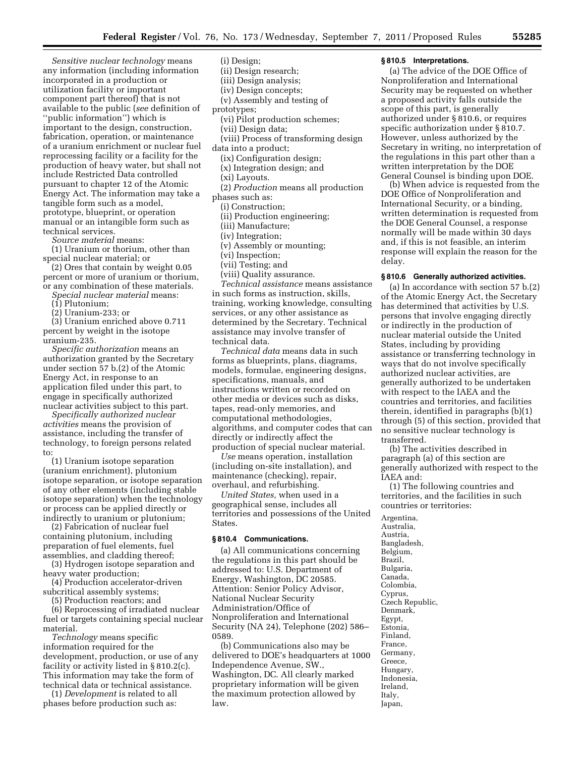*Sensitive nuclear technology* means any information (including information incorporated in a production or utilization facility or important component part thereof) that is not available to the public (*see* definition of ''public information'') which is important to the design, construction, fabrication, operation, or maintenance of a uranium enrichment or nuclear fuel reprocessing facility or a facility for the production of heavy water, but shall not include Restricted Data controlled pursuant to chapter 12 of the Atomic Energy Act. The information may take a tangible form such as a model, prototype, blueprint, or operation manual or an intangible form such as technical services.

*Source material* means:

(1) Uranium or thorium, other than special nuclear material; or

(2) Ores that contain by weight 0.05 percent or more of uranium or thorium, or any combination of these materials.

*Special nuclear material* means:

(1) Plutonium;

(2) Uranium-233; or

(3) Uranium enriched above 0.711 percent by weight in the isotope uranium-235.

*Specific authorization* means an authorization granted by the Secretary under section 57 b.(2) of the Atomic Energy Act, in response to an application filed under this part, to engage in specifically authorized nuclear activities subject to this part.

*Specifically authorized nuclear activities* means the provision of assistance, including the transfer of technology, to foreign persons related to:

(1) Uranium isotope separation (uranium enrichment), plutonium isotope separation, or isotope separation of any other elements (including stable isotope separation) when the technology or process can be applied directly or indirectly to uranium or plutonium;

(2) Fabrication of nuclear fuel containing plutonium, including preparation of fuel elements, fuel assemblies, and cladding thereof;

(3) Hydrogen isotope separation and heavy water production;

(4) Production accelerator-driven subcritical assembly systems;

(5) Production reactors; and

(6) Reprocessing of irradiated nuclear fuel or targets containing special nuclear material.

*Technology* means specific information required for the development, production, or use of any facility or activity listed in § 810.2(c). This information may take the form of technical data or technical assistance.

(1) *Development* is related to all phases before production such as:

(i) Design;

(ii) Design research;

- (iii) Design analysis;
- (iv) Design concepts;
- (v) Assembly and testing of

prototypes;

(vi) Pilot production schemes;

(vii) Design data;

(viii) Process of transforming design

data into a product;

(ix) Configuration design;

(x) Integration design; and

(xi) Layouts.

(2) *Production* means all production phases such as:

(i) Construction;

(ii) Production engineering;

(iii) Manufacture;

(iv) Integration;

(v) Assembly or mounting;

- (vi) Inspection;
- (vii) Testing; and

(viii) Quality assurance.

*Technical assistance* means assistance in such forms as instruction, skills, training, working knowledge, consulting services, or any other assistance as determined by the Secretary. Technical assistance may involve transfer of technical data.

*Technical data* means data in such forms as blueprints, plans, diagrams, models, formulae, engineering designs, specifications, manuals, and instructions written or recorded on other media or devices such as disks, tapes, read-only memories, and computational methodologies, algorithms, and computer codes that can directly or indirectly affect the production of special nuclear material.

*Use* means operation, installation (including on-site installation), and maintenance (checking), repair, overhaul, and refurbishing.

*United States,* when used in a geographical sense, includes all territories and possessions of the United States.

#### **§ 810.4 Communications.**

(a) All communications concerning the regulations in this part should be addressed to: U.S. Department of Energy, Washington, DC 20585. Attention: Senior Policy Advisor, National Nuclear Security Administration/Office of Nonproliferation and International Security (NA 24), Telephone (202) 586– 0589.

(b) Communications also may be delivered to DOE's headquarters at 1000 Independence Avenue, SW., Washington, DC. All clearly marked proprietary information will be given the maximum protection allowed by law.

#### **§ 810.5 Interpretations.**

(a) The advice of the DOE Office of Nonproliferation and International Security may be requested on whether a proposed activity falls outside the scope of this part, is generally authorized under § 810.6, or requires specific authorization under § 810.7. However, unless authorized by the Secretary in writing, no interpretation of the regulations in this part other than a written interpretation by the DOE General Counsel is binding upon DOE.

(b) When advice is requested from the DOE Office of Nonproliferation and International Security, or a binding, written determination is requested from the DOE General Counsel, a response normally will be made within 30 days and, if this is not feasible, an interim response will explain the reason for the delay.

## **§ 810.6 Generally authorized activities.**

(a) In accordance with section 57 b.(2) of the Atomic Energy Act, the Secretary has determined that activities by U.S. persons that involve engaging directly or indirectly in the production of nuclear material outside the United States, including by providing assistance or transferring technology in ways that do not involve specifically authorized nuclear activities, are generally authorized to be undertaken with respect to the IAEA and the countries and territories, and facilities therein, identified in paragraphs (b)(1) through (5) of this section, provided that no sensitive nuclear technology is transferred.

(b) The activities described in paragraph (a) of this section are generally authorized with respect to the IAEA and:

(1) The following countries and territories, and the facilities in such countries or territories:

Argentina, Australia, Austria, Bangladesh, Belgium, Brazil, Bulgaria, Canada, Colombia, Cyprus, Czech Republic, Denmark, Egypt, Estonia, Finland, France, Germany, Greece, Hungary, Indonesia, Ireland, Italy, Japan,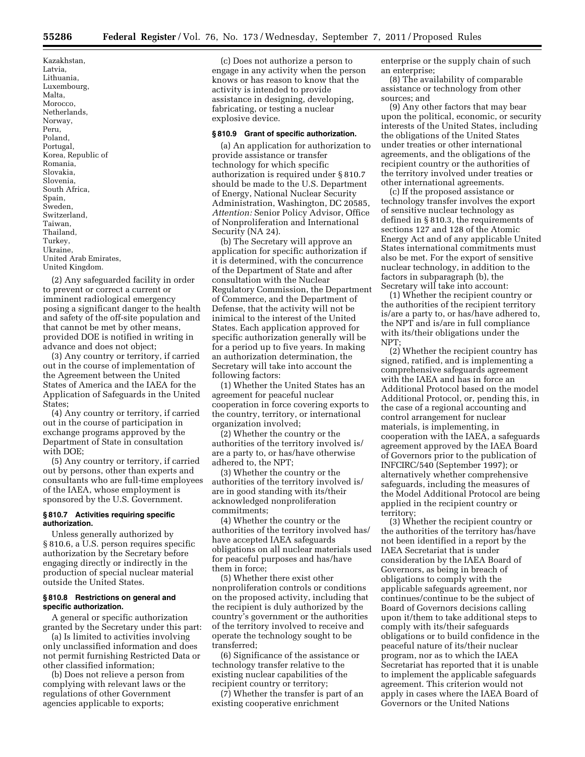Kazakhstan, Latvia, Lithuania, Luxembourg, Malta, Morocco, Netherlands, Norway, Peru, Poland, Portugal, Korea, Republic of Romania, Slovakia, Slovenia, South Africa, Spain, Sweden, Switzerland, Taiwan, Thailand, Turkey, Ukraine, United Arab Emirates, United Kingdom.

(2) Any safeguarded facility in order to prevent or correct a current or imminent radiological emergency posing a significant danger to the health and safety of the off-site population and that cannot be met by other means, provided DOE is notified in writing in advance and does not object;

(3) Any country or territory, if carried out in the course of implementation of the Agreement between the United States of America and the IAEA for the Application of Safeguards in the United States;

(4) Any country or territory, if carried out in the course of participation in exchange programs approved by the Department of State in consultation with DOE;

(5) Any country or territory, if carried out by persons, other than experts and consultants who are full-time employees of the IAEA, whose employment is sponsored by the U.S. Government.

## **§ 810.7 Activities requiring specific authorization.**

Unless generally authorized by § 810.6, a U.S. person requires specific authorization by the Secretary before engaging directly or indirectly in the production of special nuclear material outside the United States.

#### **§ 810.8 Restrictions on general and specific authorization.**

A general or specific authorization granted by the Secretary under this part:

(a) Is limited to activities involving only unclassified information and does not permit furnishing Restricted Data or other classified information;

(b) Does not relieve a person from complying with relevant laws or the regulations of other Government agencies applicable to exports;

(c) Does not authorize a person to engage in any activity when the person knows or has reason to know that the activity is intended to provide assistance in designing, developing, fabricating, or testing a nuclear explosive device.

#### **§ 810.9 Grant of specific authorization.**

(a) An application for authorization to provide assistance or transfer technology for which specific authorization is required under § 810.7 should be made to the U.S. Department of Energy, National Nuclear Security Administration, Washington, DC 20585, *Attention:* Senior Policy Advisor, Office of Nonproliferation and International Security (NA 24).

(b) The Secretary will approve an application for specific authorization if it is determined, with the concurrence of the Department of State and after consultation with the Nuclear Regulatory Commission, the Department of Commerce, and the Department of Defense, that the activity will not be inimical to the interest of the United States. Each application approved for specific authorization generally will be for a period up to five years. In making an authorization determination, the Secretary will take into account the following factors:

(1) Whether the United States has an agreement for peaceful nuclear cooperation in force covering exports to the country, territory, or international organization involved;

(2) Whether the country or the authorities of the territory involved is/ are a party to, or has/have otherwise adhered to, the NPT;

(3) Whether the country or the authorities of the territory involved is/ are in good standing with its/their acknowledged nonproliferation commitments;

(4) Whether the country or the authorities of the territory involved has/ have accepted IAEA safeguards obligations on all nuclear materials used for peaceful purposes and has/have them in force;

(5) Whether there exist other nonproliferation controls or conditions on the proposed activity, including that the recipient is duly authorized by the country's government or the authorities of the territory involved to receive and operate the technology sought to be transferred;

(6) Significance of the assistance or technology transfer relative to the existing nuclear capabilities of the recipient country or territory;

(7) Whether the transfer is part of an existing cooperative enrichment

enterprise or the supply chain of such an enterprise;

(8) The availability of comparable assistance or technology from other sources; and

(9) Any other factors that may bear upon the political, economic, or security interests of the United States, including the obligations of the United States under treaties or other international agreements, and the obligations of the recipient country or the authorities of the territory involved under treaties or other international agreements.

(c) If the proposed assistance or technology transfer involves the export of sensitive nuclear technology as defined in § 810.3, the requirements of sections 127 and 128 of the Atomic Energy Act and of any applicable United States international commitments must also be met. For the export of sensitive nuclear technology, in addition to the factors in subparagraph (b), the Secretary will take into account:

(1) Whether the recipient country or the authorities of the recipient territory is/are a party to, or has/have adhered to, the NPT and is/are in full compliance with its/their obligations under the NPT;

(2) Whether the recipient country has signed, ratified, and is implementing a comprehensive safeguards agreement with the IAEA and has in force an Additional Protocol based on the model Additional Protocol, or, pending this, in the case of a regional accounting and control arrangement for nuclear materials, is implementing, in cooperation with the IAEA, a safeguards agreement approved by the IAEA Board of Governors prior to the publication of INFCIRC/540 (September 1997); or alternatively whether comprehensive safeguards, including the measures of the Model Additional Protocol are being applied in the recipient country or territory;

(3) Whether the recipient country or the authorities of the territory has/have not been identified in a report by the IAEA Secretariat that is under consideration by the IAEA Board of Governors, as being in breach of obligations to comply with the applicable safeguards agreement, nor continues/continue to be the subject of Board of Governors decisions calling upon it/them to take additional steps to comply with its/their safeguards obligations or to build confidence in the peaceful nature of its/their nuclear program, nor as to which the IAEA Secretariat has reported that it is unable to implement the applicable safeguards agreement. This criterion would not apply in cases where the IAEA Board of Governors or the United Nations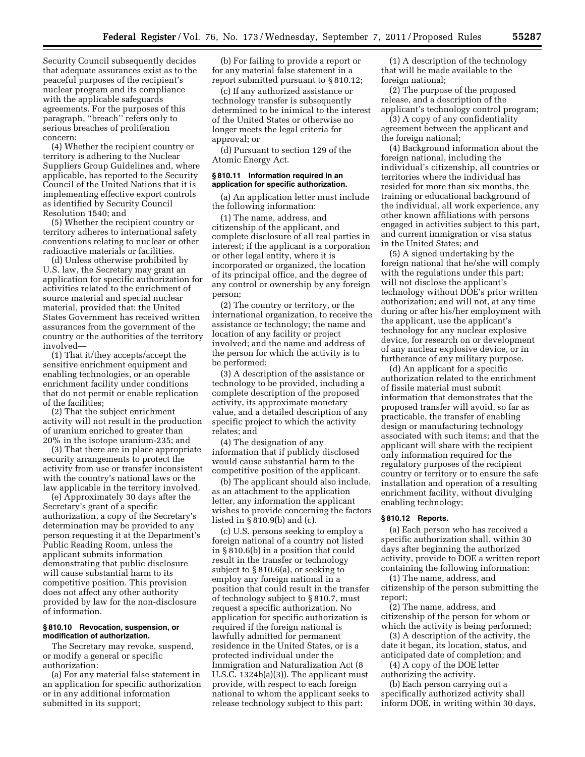Security Council subsequently decides that adequate assurances exist as to the peaceful purposes of the recipient's nuclear program and its compliance with the applicable safeguards agreements. For the purposes of this paragraph, ''breach'' refers only to serious breaches of proliferation concern;

(4) Whether the recipient country or territory is adhering to the Nuclear Suppliers Group Guidelines and, where applicable, has reported to the Security Council of the United Nations that it is implementing effective export controls as identified by Security Council Resolution 1540; and

(5) Whether the recipient country or territory adheres to international safety conventions relating to nuclear or other radioactive materials or facilities.

(d) Unless otherwise prohibited by U.S. law, the Secretary may grant an application for specific authorization for activities related to the enrichment of source material and special nuclear material, provided that: the United States Government has received written assurances from the government of the country or the authorities of the territory involved—

(1) That it/they accepts/accept the sensitive enrichment equipment and enabling technologies, or an operable enrichment facility under conditions that do not permit or enable replication of the facilities;

(2) That the subject enrichment activity will not result in the production of uranium enriched to greater than 20% in the isotope uranium-235; and

(3) That there are in place appropriate security arrangements to protect the activity from use or transfer inconsistent with the country's national laws or the law applicable in the territory involved.

(e) Approximately 30 days after the Secretary's grant of a specific authorization, a copy of the Secretary's determination may be provided to any person requesting it at the Department's Public Reading Room, unless the applicant submits information demonstrating that public disclosure will cause substantial harm to its competitive position. This provision does not affect any other authority provided by law for the non-disclosure of information.

#### **§ 810.10 Revocation, suspension, or modification of authorization.**

The Secretary may revoke, suspend, or modify a general or specific authorization:

(a) For any material false statement in an application for specific authorization or in any additional information submitted in its support;

(b) For failing to provide a report or for any material false statement in a report submitted pursuant to § 810.12;

(c) If any authorized assistance or technology transfer is subsequently determined to be inimical to the interest of the United States or otherwise no longer meets the legal criteria for approval; or

(d) Pursuant to section 129 of the Atomic Energy Act.

#### **§ 810.11 Information required in an application for specific authorization.**

(a) An application letter must include the following information:

(1) The name, address, and citizenship of the applicant, and complete disclosure of all real parties in interest; if the applicant is a corporation or other legal entity, where it is incorporated or organized, the location of its principal office, and the degree of any control or ownership by any foreign person;

(2) The country or territory, or the international organization, to receive the assistance or technology; the name and location of any facility or project involved; and the name and address of the person for which the activity is to be performed;

(3) A description of the assistance or technology to be provided, including a complete description of the proposed activity, its approximate monetary value, and a detailed description of any specific project to which the activity relates; and

(4) The designation of any information that if publicly disclosed would cause substantial harm to the competitive position of the applicant.

(b) The applicant should also include, as an attachment to the application letter, any information the applicant wishes to provide concerning the factors listed in § 810.9(b) and (c).

(c) U.S. persons seeking to employ a foreign national of a country not listed in § 810.6(b) in a position that could result in the transfer or technology subject to § 810.6(a), or seeking to employ any foreign national in a position that could result in the transfer of technology subject to § 810.7, must request a specific authorization. No application for specific authorization is required if the foreign national is lawfully admitted for permanent residence in the United States, or is a protected individual under the Immigration and Naturalization Act (8 U.S.C. 1324b(a)(3)). The applicant must provide, with respect to each foreign national to whom the applicant seeks to release technology subject to this part:

(1) A description of the technology that will be made available to the foreign national;

(2) The purpose of the proposed release, and a description of the applicant's technology control program;

(3) A copy of any confidentiality agreement between the applicant and the foreign national;

(4) Background information about the foreign national, including the individual's citizenship, all countries or territories where the individual has resided for more than six months, the training or educational background of the individual, all work experience, any other known affiliations with persons engaged in activities subject to this part, and current immigration or visa status in the United States; and

(5) A signed undertaking by the foreign national that he/she will comply with the regulations under this part; will not disclose the applicant's technology without DOE's prior written authorization; and will not, at any time during or after his/her employment with the applicant, use the applicant's technology for any nuclear explosive device, for research on or development of any nuclear explosive device, or in furtherance of any military purpose.

(d) An applicant for a specific authorization related to the enrichment of fissile material must submit information that demonstrates that the proposed transfer will avoid, so far as practicable, the transfer of enabling design or manufacturing technology associated with such items; and that the applicant will share with the recipient only information required for the regulatory purposes of the recipient country or territory or to ensure the safe installation and operation of a resulting enrichment facility, without divulging enabling technology;

## **§ 810.12 Reports.**

(a) Each person who has received a specific authorization shall, within 30 days after beginning the authorized activity, provide to DOE a written report containing the following information:

(1) The name, address, and citizenship of the person submitting the report;

(2) The name, address, and citizenship of the person for whom or which the activity is being performed;

(3) A description of the activity, the date it began, its location, status, and anticipated date of completion; and

(4) A copy of the DOE letter authorizing the activity.

(b) Each person carrying out a specifically authorized activity shall inform DOE, in writing within 30 days,